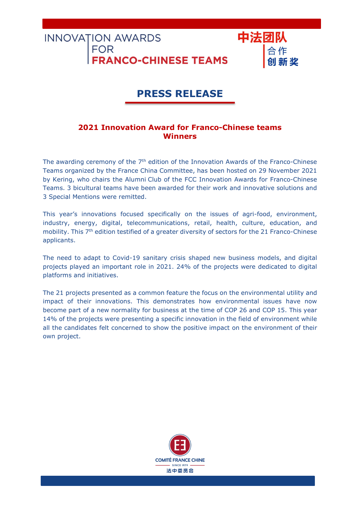**FOR RANCO-CHINESE TEAMS** 

**INNOVATION AWARDS** 

# PRESS RELEASE

中法团队

## 2021 Innovation Award for Franco-Chinese teams **Winners**

The awarding ceremony of the 7<sup>th</sup> edition of the Innovation Awards of the Franco-Chinese Teams organized by the France China Committee, has been hosted on 29 November 2021 by Kering, who chairs the Alumni Club of the FCC Innovation Awards for Franco-Chinese Teams. 3 bicultural teams have been awarded for their work and innovative solutions and 3 Special Mentions were remitted.

This year's innovations focused specifically on the issues of agri-food, environment, industry, energy, digital, telecommunications, retail, health, culture, education, and mobility. This 7<sup>th</sup> edition testified of a greater diversity of sectors for the 21 Franco-Chinese applicants.

The need to adapt to Covid-19 sanitary crisis shaped new business models, and digital projects played an important role in 2021. 24% of the projects were dedicated to digital platforms and initiatives.

The 21 projects presented as a common feature the focus on the environmental utility and impact of their innovations. This demonstrates how environmental issues have now become part of a new normality for business at the time of COP 26 and COP 15. This year 14% of the projects were presenting a specific innovation in the field of environment while all the candidates felt concerned to show the positive impact on the environment of their own project.

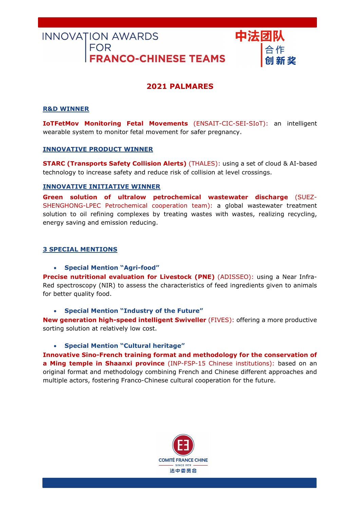# INNOVATION AWARDS FOR<br>FOR<br>**FRANCO-CHINESE TEAMS**

## 2021 PALMARES

中法团队

#### R&D WINNER

IoTFetMov Monitoring Fetal Movements (ENSAIT-CIC-SEI-SIoT): an intelligent wearable system to monitor fetal movement for safer pregnancy.

#### INNOVATIVE PRODUCT WINNER

STARC (Transports Safety Collision Alerts) (THALES): using a set of cloud & AI-based technology to increase safety and reduce risk of collision at level crossings.

#### INNOVATIVE INITIATIVE WINNER

Green solution of ultralow petrochemical wastewater discharge (SUEZ-SHENGHONG-LPEC Petrochemical cooperation team): a global wastewater treatment solution to oil refining complexes by treating wastes with wastes, realizing recycling, energy saving and emission reducing.

#### 3 SPECIAL MENTIONS

Special Mention "Agri-food"

Precise nutritional evaluation for Livestock (PNE) (ADISSEO): using a Near Infra-Red spectroscopy (NIR) to assess the characteristics of feed ingredients given to animals for better quality food.

Special Mention "Industry of the Future"

New generation high-speed intelligent Swiveller (FIVES): offering a more productive sorting solution at relatively low cost.

#### Special Mention "Cultural heritage"

Innovative Sino-French training format and methodology for the conservation of a Ming temple in Shaanxi province (INP-FSP-15 Chinese institutions): based on an original format and methodology combining French and Chinese different approaches and multiple actors, fostering Franco-Chinese cultural cooperation for the future.